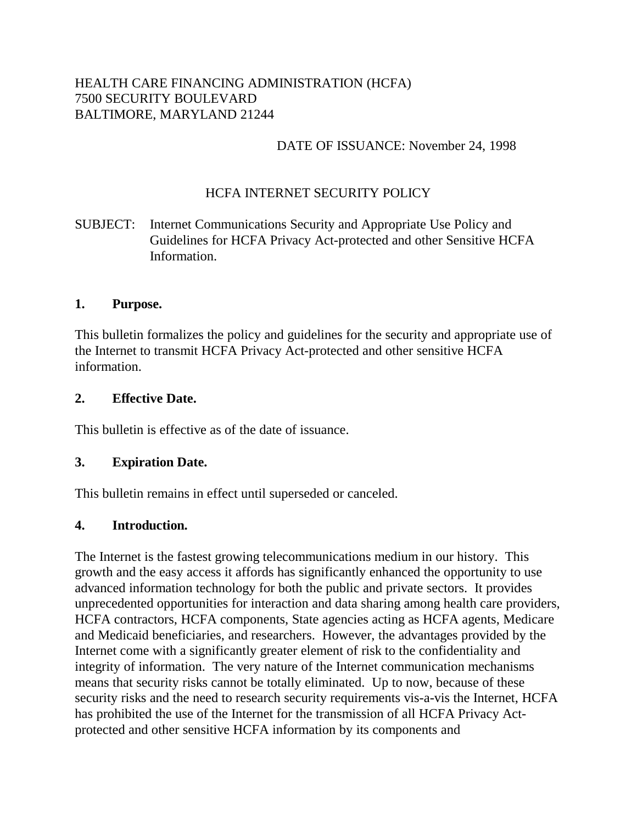### HEALTH CARE FINANCING ADMINISTRATION (HCFA) 7500 SECURITY BOULEVARD BALTIMORE, MARYLAND 21244

### DATE OF ISSUANCE: November 24, 1998

# HCFA INTERNET SECURITY POLICY

# SUBJECT: Internet Communications Security and Appropriate Use Policy and Guidelines for HCFA Privacy Act-protected and other Sensitive HCFA Information.

### **1. Purpose.**

This bulletin formalizes the policy and guidelines for the security and appropriate use of the Internet to transmit HCFA Privacy Act-protected and other sensitive HCFA information.

### **2. Effective Date.**

This bulletin is effective as of the date of issuance.

### **3. Expiration Date.**

This bulletin remains in effect until superseded or canceled.

### **4. Introduction.**

The Internet is the fastest growing telecommunications medium in our history. This growth and the easy access it affords has significantly enhanced the opportunity to use advanced information technology for both the public and private sectors. It provides unprecedented opportunities for interaction and data sharing among health care providers, HCFA contractors, HCFA components, State agencies acting as HCFA agents, Medicare and Medicaid beneficiaries, and researchers. However, the advantages provided by the Internet come with a significantly greater element of risk to the confidentiality and integrity of information. The very nature of the Internet communication mechanisms means that security risks cannot be totally eliminated. Up to now, because of these security risks and the need to research security requirements vis-a-vis the Internet, HCFA has prohibited the use of the Internet for the transmission of all HCFA Privacy Actprotected and other sensitive HCFA information by its components and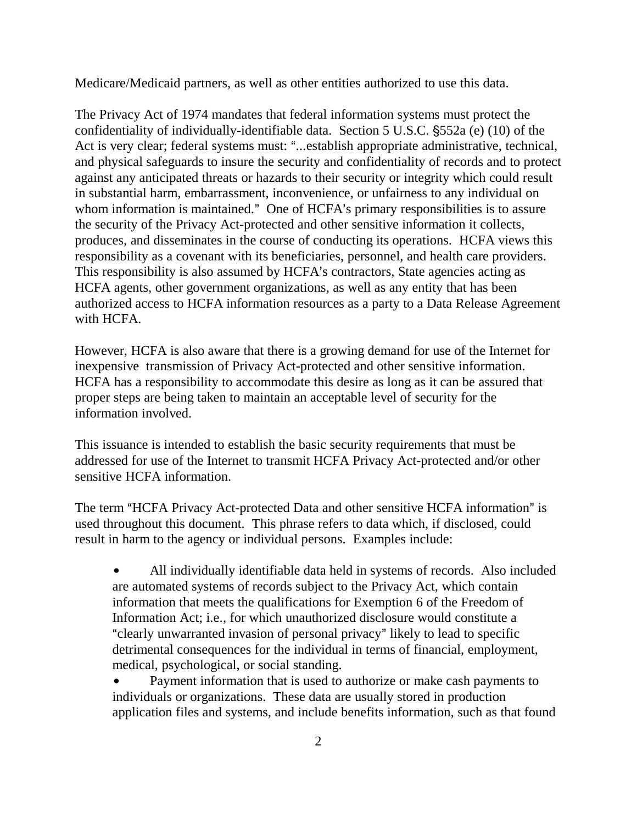Medicare/Medicaid partners, as well as other entities authorized to use this data.

The Privacy Act of 1974 mandates that federal information systems must protect the confidentiality of individually-identifiable data. Section 5 U.S.C. 552a (e) (10) of the Act is very clear; federal systems must: "...establish appropriate administrative, technical, and physical safeguards to insure the security and confidentiality of records and to protect against any anticipated threats or hazards to their security or integrity which could result in substantial harm, embarrassment, inconvenience, or unfairness to any individual on whom information is maintained." One of HCFA's primary responsibilities is to assure the security of the Privacy Act-protected and other sensitive information it collects, produces, and disseminates in the course of conducting its operations. HCFA views this responsibility as a covenant with its beneficiaries, personnel, and health care providers. This responsibility is also assumed by HCFA's contractors, State agencies acting as HCFA agents, other government organizations, as well as any entity that has been authorized access to HCFA information resources as a party to a Data Release Agreement with HCFA.

However, HCFA is also aware that there is a growing demand for use of the Internet for inexpensive transmission of Privacy Act-protected and other sensitive information. HCFA has a responsibility to accommodate this desire as long as it can be assured that proper steps are being taken to maintain an acceptable level of security for the information involved.

This issuance is intended to establish the basic security requirements that must be addressed for use of the Internet to transmit HCFA Privacy Act-protected and/or other sensitive HCFA information.

The term "HCFA Privacy Act-protected Data and other sensitive HCFA information" is used throughout this document. This phrase refers to data which, if disclosed, could result in harm to the agency or individual persons. Examples include:

 All individually identifiable data held in systems of records. Also included are automated systems of records subject to the Privacy Act, which contain information that meets the qualifications for Exemption 6 of the Freedom of Information Act; i.e., for which unauthorized disclosure would constitute a "clearly unwarranted invasion of personal privacy" likely to lead to specific detrimental consequences for the individual in terms of financial, employment, medical, psychological, or social standing.

 Payment information that is used to authorize or make cash payments to individuals or organizations. These data are usually stored in production application files and systems, and include benefits information, such as that found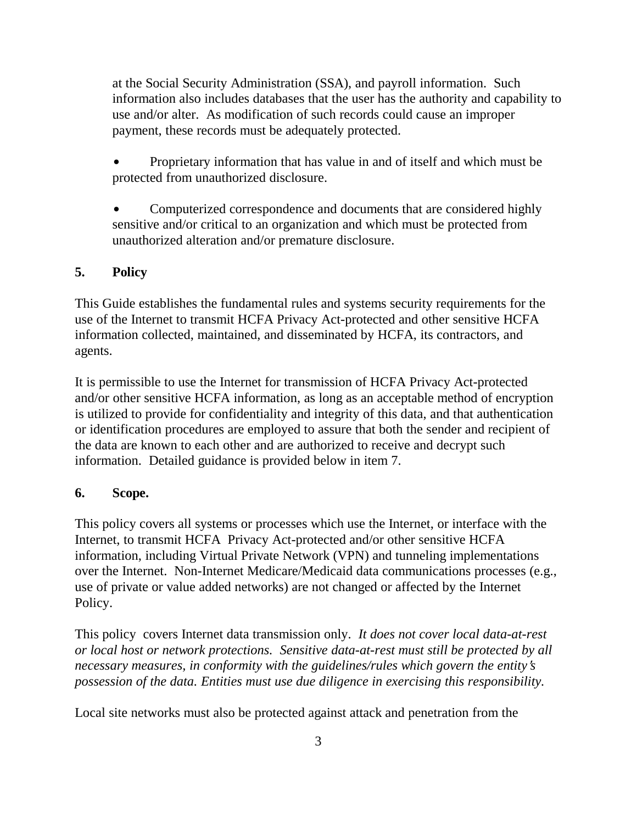at the Social Security Administration (SSA), and payroll information. Such information also includes databases that the user has the authority and capability to use and/or alter. As modification of such records could cause an improper payment, these records must be adequately protected.

 Proprietary information that has value in and of itself and which must be protected from unauthorized disclosure.

 Computerized correspondence and documents that are considered highly sensitive and/or critical to an organization and which must be protected from unauthorized alteration and/or premature disclosure.

# **5. Policy**

This Guide establishes the fundamental rules and systems security requirements for the use of the Internet to transmit HCFA Privacy Act-protected and other sensitive HCFA information collected, maintained, and disseminated by HCFA, its contractors, and agents.

It is permissible to use the Internet for transmission of HCFA Privacy Act-protected and/or other sensitive HCFA information, as long as an acceptable method of encryption is utilized to provide for confidentiality and integrity of this data, and that authentication or identification procedures are employed to assure that both the sender and recipient of the data are known to each other and are authorized to receive and decrypt such information. Detailed guidance is provided below in item 7.

### **6. Scope.**

This policy covers all systems or processes which use the Internet, or interface with the Internet, to transmit HCFA Privacy Act-protected and/or other sensitive HCFA information, including Virtual Private Network (VPN) and tunneling implementations over the Internet. Non-Internet Medicare/Medicaid data communications processes (e.g., use of private or value added networks) are not changed or affected by the Internet Policy.

This policy covers Internet data transmission only. *It does not cover local data-at-rest or local host or network protections. Sensitive data-at-rest must still be protected by all necessary measures, in conformity with the guidelines/rules which govern the entity s possession of the data. Entities must use due diligence in exercising this responsibility.*

Local site networks must also be protected against attack and penetration from the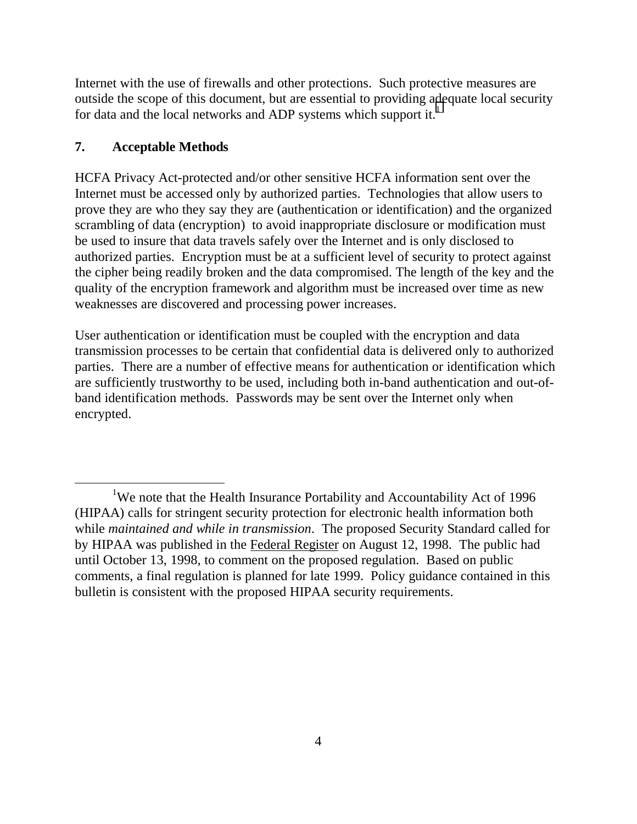Internet with the use of firewalls and other protections. Such protective measures are outside the scope of this document, but are essential to providing adequate local security for data and the local networks and ADP systems which support it.<sup>1</sup>

### **7. Acceptable Methods**

HCFA Privacy Act-protected and/or other sensitive HCFA information sent over the Internet must be accessed only by authorized parties. Technologies that allow users to prove they are who they say they are (authentication or identification) and the organized scrambling of data (encryption) to avoid inappropriate disclosure or modification must be used to insure that data travels safely over the Internet and is only disclosed to authorized parties. Encryption must be at a sufficient level of security to protect against the cipher being readily broken and the data compromised. The length of the key and the quality of the encryption framework and algorithm must be increased over time as new weaknesses are discovered and processing power increases.

User authentication or identification must be coupled with the encryption and data transmission processes to be certain that confidential data is delivered only to authorized parties. There are a number of effective means for authentication or identification which are sufficiently trustworthy to be used, including both in-band authentication and out-ofband identification methods. Passwords may be sent over the Internet only when encrypted.

<sup>&</sup>lt;u>1</u> <sup>1</sup>We note that the Health Insurance Portability and Accountability Act of 1996 (HIPAA) calls for stringent security protection for electronic health information both while *maintained and while in transmission*. The proposed Security Standard called for by HIPAA was published in the Federal Register on August 12, 1998. The public had until October 13, 1998, to comment on the proposed regulation. Based on public comments, a final regulation is planned for late 1999. Policy guidance contained in this bulletin is consistent with the proposed HIPAA security requirements.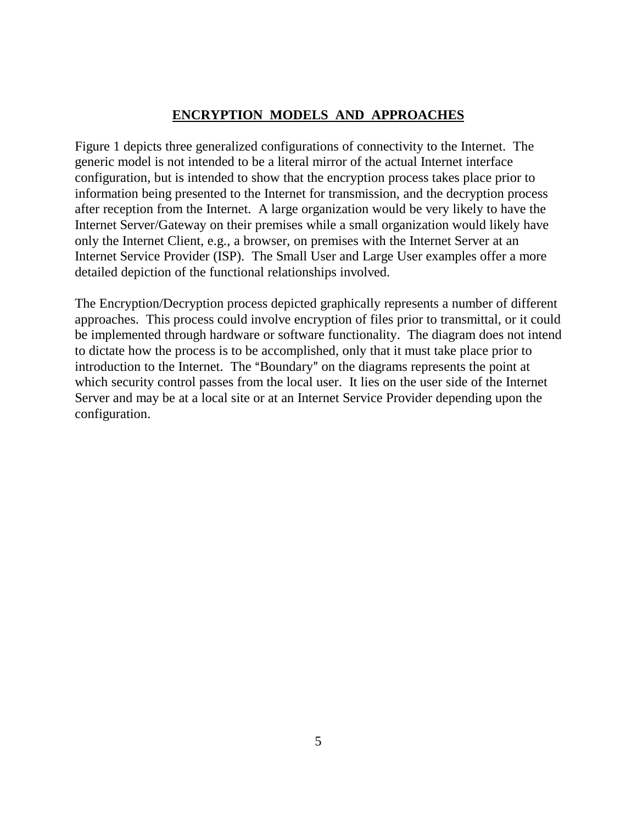# **ENCRYPTION MODELS AND APPROACHES**

Figure 1 depicts three generalized configurations of connectivity to the Internet. The generic model is not intended to be a literal mirror of the actual Internet interface configuration, but is intended to show that the encryption process takes place prior to information being presented to the Internet for transmission, and the decryption process after reception from the Internet. A large organization would be very likely to have the Internet Server/Gateway on their premises while a small organization would likely have only the Internet Client, e.g., a browser, on premises with the Internet Server at an Internet Service Provider (ISP). The Small User and Large User examples offer a more detailed depiction of the functional relationships involved.

The Encryption/Decryption process depicted graphically represents a number of different approaches. This process could involve encryption of files prior to transmittal, or it could be implemented through hardware or software functionality. The diagram does not intend to dictate how the process is to be accomplished, only that it must take place prior to introduction to the Internet. The "Boundary" on the diagrams represents the point at which security control passes from the local user. It lies on the user side of the Internet Server and may be at a local site or at an Internet Service Provider depending upon the configuration.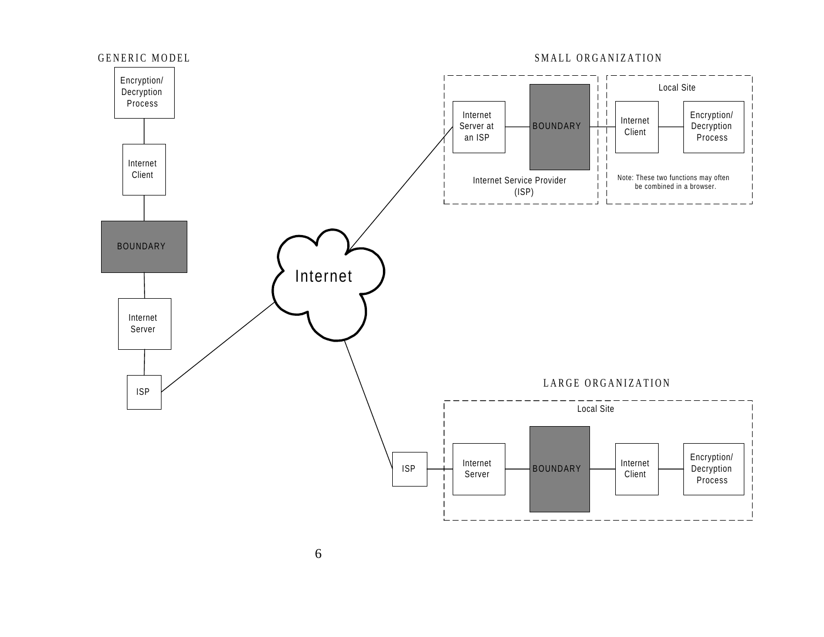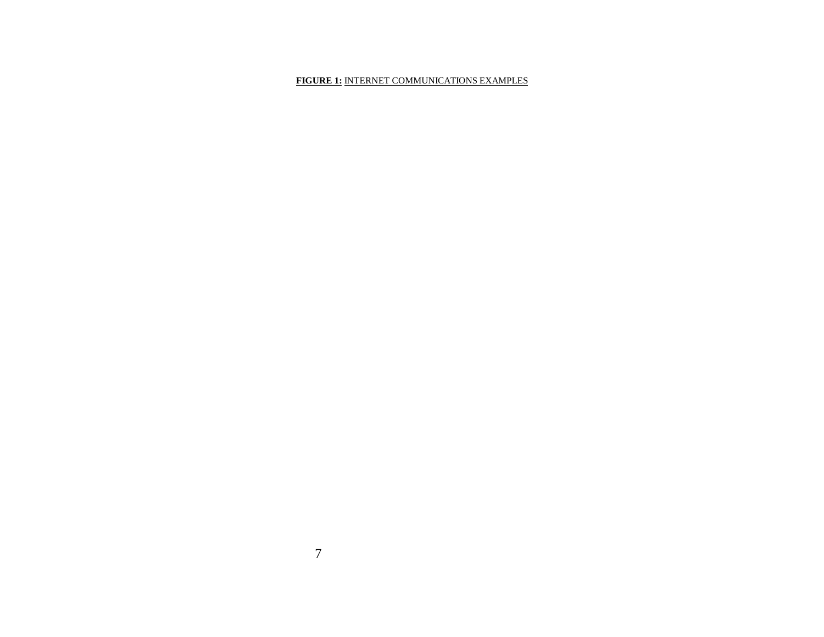#### **FIGURE 1:** INTERNET COMMUNICATIONS EXAMPLES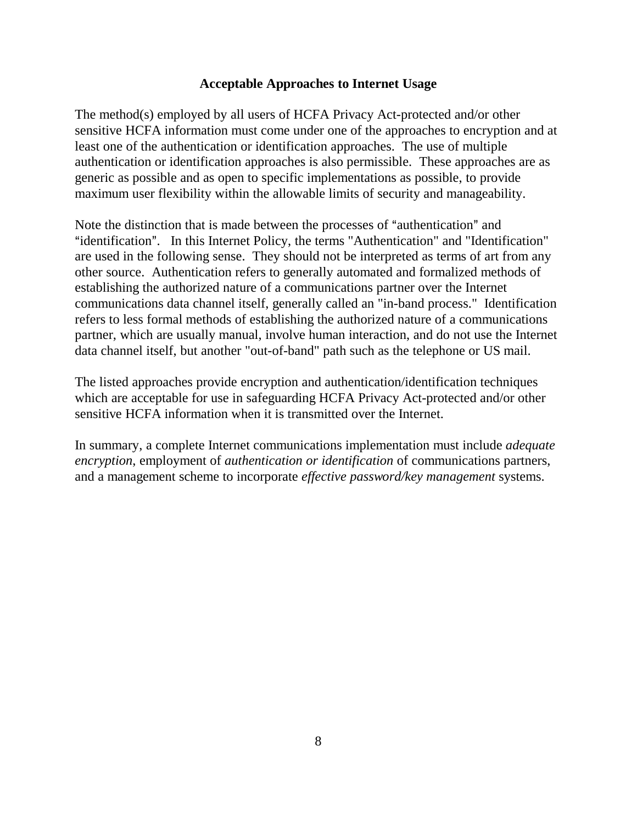### **Acceptable Approaches to Internet Usage**

The method(s) employed by all users of HCFA Privacy Act-protected and/or other sensitive HCFA information must come under one of the approaches to encryption and at least one of the authentication or identification approaches. The use of multiple authentication or identification approaches is also permissible. These approaches are as generic as possible and as open to specific implementations as possible, to provide maximum user flexibility within the allowable limits of security and manageability.

Note the distinction that is made between the processes of "authentication" and "identification". In this Internet Policy, the terms "Authentication" and "Identification" are used in the following sense. They should not be interpreted as terms of art from any other source. Authentication refers to generally automated and formalized methods of establishing the authorized nature of a communications partner over the Internet communications data channel itself, generally called an "in-band process." Identification refers to less formal methods of establishing the authorized nature of a communications partner, which are usually manual, involve human interaction, and do not use the Internet data channel itself, but another "out-of-band" path such as the telephone or US mail.

The listed approaches provide encryption and authentication/identification techniques which are acceptable for use in safeguarding HCFA Privacy Act-protected and/or other sensitive HCFA information when it is transmitted over the Internet.

In summary, a complete Internet communications implementation must include *adequate encryption*, employment of *authentication or identification* of communications partners, and a management scheme to incorporate *effective password/key management* systems.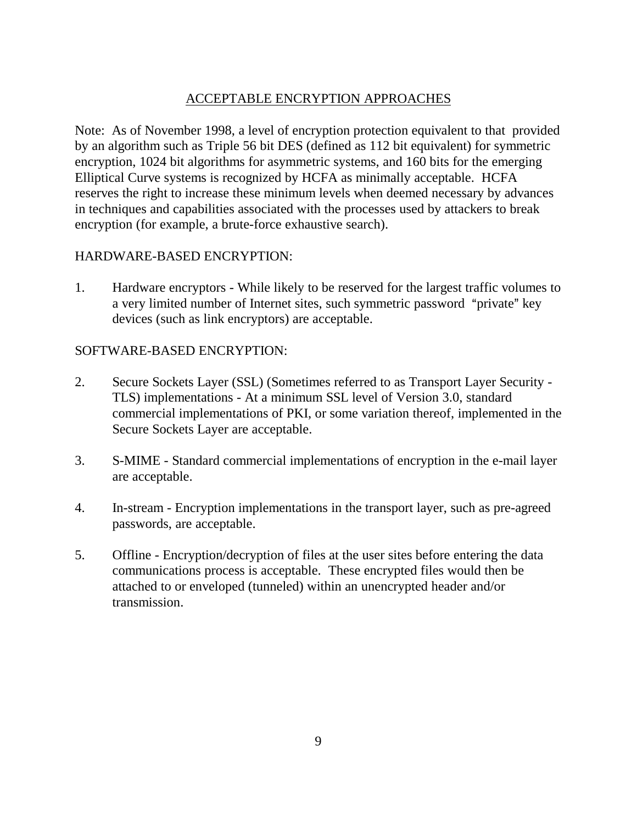# ACCEPTABLE ENCRYPTION APPROACHES

Note: As of November 1998, a level of encryption protection equivalent to that provided by an algorithm such as Triple 56 bit DES (defined as 112 bit equivalent) for symmetric encryption, 1024 bit algorithms for asymmetric systems, and 160 bits for the emerging Elliptical Curve systems is recognized by HCFA as minimally acceptable. HCFA reserves the right to increase these minimum levels when deemed necessary by advances in techniques and capabilities associated with the processes used by attackers to break encryption (for example, a brute-force exhaustive search).

### HARDWARE-BASED ENCRYPTION:

1. Hardware encryptors - While likely to be reserved for the largest traffic volumes to a very limited number of Internet sites, such symmetric password "private" key devices (such as link encryptors) are acceptable.

### SOFTWARE-BASED ENCRYPTION:

- 2. Secure Sockets Layer (SSL) (Sometimes referred to as Transport Layer Security TLS) implementations - At a minimum SSL level of Version 3.0, standard commercial implementations of PKI, or some variation thereof, implemented in the Secure Sockets Layer are acceptable.
- 3. S-MIME Standard commercial implementations of encryption in the e-mail layer are acceptable.
- 4. In-stream Encryption implementations in the transport layer, such as pre-agreed passwords, are acceptable.
- 5. Offline Encryption/decryption of files at the user sites before entering the data communications process is acceptable. These encrypted files would then be attached to or enveloped (tunneled) within an unencrypted header and/or transmission.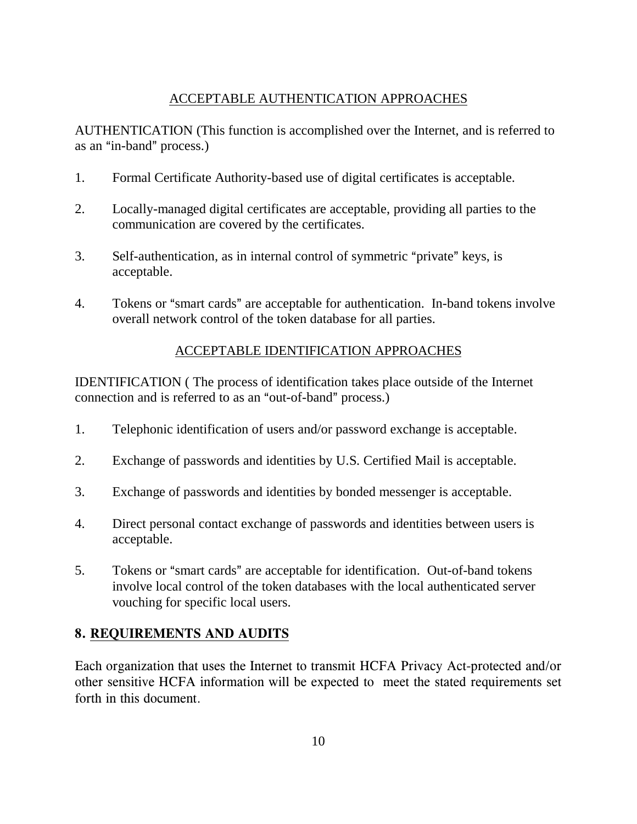# ACCEPTABLE AUTHENTICATION APPROACHES

AUTHENTICATION (This function is accomplished over the Internet, and is referred to as an "in-band" process.)

- 1. Formal Certificate Authority-based use of digital certificates is acceptable.
- 2. Locally-managed digital certificates are acceptable, providing all parties to the communication are covered by the certificates.
- 3. Self-authentication, as in internal control of symmetric "private" keys, is acceptable.
- 4. Tokens or "smart cards" are acceptable for authentication. In-band tokens involve overall network control of the token database for all parties.

# ACCEPTABLE IDENTIFICATION APPROACHES

IDENTIFICATION ( The process of identification takes place outside of the Internet connection and is referred to as an "out-of-band" process.)

- 1. Telephonic identification of users and/or password exchange is acceptable.
- 2. Exchange of passwords and identities by U.S. Certified Mail is acceptable.
- 3. Exchange of passwords and identities by bonded messenger is acceptable.
- 4. Direct personal contact exchange of passwords and identities between users is acceptable.
- 5. Tokens or "smart cards" are acceptable for identification. Out-of-band tokens involve local control of the token databases with the local authenticated server vouching for specific local users.

# 8. REQUIREMENTS AND AUDITS

Each organization that uses the Internet to transmit HCFA Privacy Act-protected and/or other sensitive HCFA information will be expected to meet the stated requirements set forth in this document.